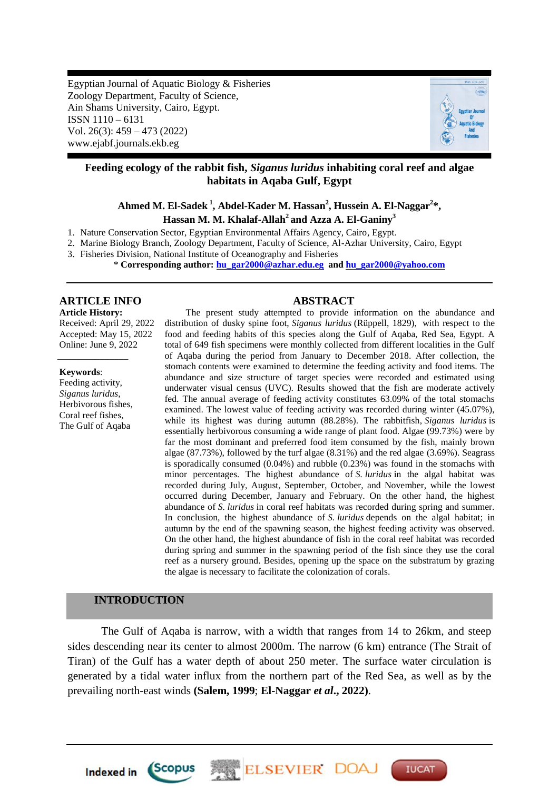Egyptian Journal of Aquatic Biology & Fisheries Zoology Department, Faculty of Science, Ain Shams University, Cairo, Egypt. ISSN 1110 – 6131 Vol. 26(3): 459 – 473 (2022) www.ejabf.journals.ekb.eg



# **Feeding ecology of the rabbit fish,** *Siganus luridus* **inhabiting coral reef and algae habitats in Aqaba Gulf, Egypt**

# **Ahmed M. El-Sadek <sup>1</sup> , Abdel-Kader M. Hassan<sup>2</sup> , Hussein A. El-Naggar<sup>2</sup> \*, Hassan M. M. Khalaf-Allah<sup>2</sup>and Azza A. El-Ganiny<sup>3</sup>**

1. Nature Conservation Sector, Egyptian Environmental Affairs Agency, Cairo, Egypt.

2. Marine Biology Branch, Zoology Department, Faculty of Science, Al-Azhar University, Cairo, Egypt

3. Fisheries Division, National Institute of Oceanography and Fisheries

\* **Corresponding author: [hu\\_gar2000@azhar.edu.eg](mailto:hu_gar2000@azhar.edu.eg) and [hu\\_gar2000@yahoo.com](mailto:hu_gar2000@yahoo.com)**

#### **ARTICLE INFO ABSTRACT Article History:**

Received: April 29, 2022 Accepted: May 15, 2022 Online: June 9, 2022

#### **Keywords**:

Feeding activity, *Siganus luridus*, Herbivorous fishes, Coral reef fishes, The Gulf of Aqaba

*\_\_\_\_\_\_\_\_\_\_\_\_\_\_\_*

The present study attempted to provide information on the abundance and distribution of dusky spine foot, *Siganus luridus* (Rüppell, 1829), with respect to the food and feeding habits of this species along the Gulf of Aqaba, Red Sea, Egypt. A total of 649 fish specimens were monthly collected from different localities in the Gulf of Aqaba during the period from January to December 2018. After collection, the stomach contents were examined to determine the feeding activity and food items. The abundance and size structure of target species were recorded and estimated using underwater visual census (UVC). Results showed that the fish are moderate actively fed. The annual average of feeding activity constitutes 63.09% of the total stomachs examined. The lowest value of feeding activity was recorded during winter (45.07%), while its highest was during autumn (88.28%). The rabbitfish, *Siganus luridus* is essentially herbivorous consuming a wide range of plant food. Algae (99.73%) were by far the most dominant and preferred food item consumed by the fish, mainly brown algae (87.73%), followed by the turf algae (8.31%) and the red algae (3.69%). Seagrass is sporadically consumed (0.04%) and rubble (0.23%) was found in the stomachs with minor percentages. The highest abundance of *S. luridus* in the algal habitat was recorded during July, August, September, October, and November, while the lowest occurred during December, January and February. On the other hand, the highest abundance of *S. luridus* in coral reef habitats was recorded during spring and summer. In conclusion, the highest abundance of *S. luridus* depends on the algal habitat; in autumn by the end of the spawning season, the highest feeding activity was observed. On the other hand, the highest abundance of fish in the coral reef habitat was recorded during spring and summer in the spawning period of the fish since they use the coral reef as a nursery ground. Besides, opening up the space on the substratum by grazing the algae is necessary to facilitate the colonization of corals.

# **INTRODUCTION**

Indexed in Scopus

The Gulf of Aqaba is narrow, with a width that ranges from 14 to 26km, and steep sides descending near its center to almost 2000m. The narrow (6 km) entrance (The Strait of Tiran) of the Gulf has a water depth of about 250 meter. The surface water circulation is generated by a tidal water influx from the northern part of the Red Sea, as well as by the prevailing north-east winds **(Salem, 1999**; **El-Naggar** *et al***., 2022)**.

**ELSEVIER DOA** 

**IUCAT**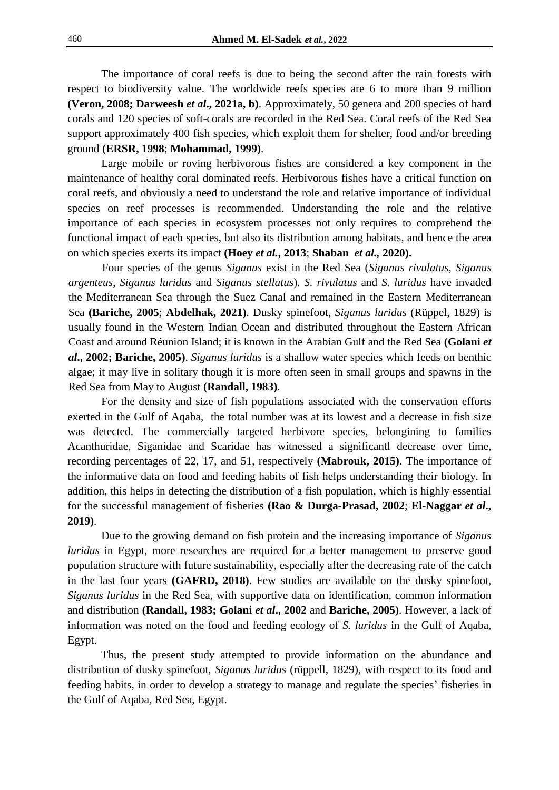The importance of coral reefs is due to being the second after the rain forests with respect to biodiversity value. The worldwide reefs species are 6 to more than 9 million **(Veron, 2008; Darweesh** *et al***., 2021a, b)**. Approximately, 50 genera and 200 species of hard corals and 120 species of soft-corals are recorded in the Red Sea. Coral reefs of the Red Sea support approximately 400 fish species, which exploit them for shelter, food and/or breeding ground **(ERSR, 1998**; **Mohammad, 1999)**.

Large mobile or roving herbivorous fishes are considered a key component in the maintenance of healthy coral dominated reefs. Herbivorous fishes have a critical function on coral reefs, and obviously a need to understand the role and relative importance of individual species on reef processes is recommended. Understanding the role and the relative importance of each species in ecosystem processes not only requires to comprehend the functional impact of each species, but also its distribution among habitats, and hence the area on which species exerts its impact **(Hoey** *et al.***, 2013**; **Shaban** *et al.,* **2020).**

Four species of the genus *Siganus* exist in the Red Sea (*Siganus rivulatus*, *Siganus argenteus, Siganus luridus* and *Siganus stellatus*). *S. rivulatus* and *S. luridus* have invaded the Mediterranean Sea through the Suez Canal and remained in the Eastern Mediterranean Sea **(Bariche, 2005**; **Abdelhak, 2021)**. Dusky spinefoot, *Siganus luridus* (Rüppel, 1829) is usually found in the Western Indian Ocean and distributed throughout the Eastern African Coast and around Réunion Island; it is known in the Arabian Gulf and the Red Sea **(Golani** *et al***., 2002; Bariche, 2005)**. *Siganus luridus* is a shallow water species which feeds on benthic algae; it may live in solitary though it is more often seen in small groups and spawns in the Red Sea from May to August **(Randall, 1983)**.

For the density and size of fish populations associated with the conservation efforts exerted in the Gulf of Aqaba, the total number was at its lowest and a decrease in fish size was detected. The commercially targeted herbivore species, belongining to families Acanthuridae, Siganidae and Scaridae has witnessed a significantl decrease over time, recording percentages of 22, 17, and 51, respectively **(Mabrouk, 2015)**. The importance of the informative data on food and feeding habits of fish helps understanding their biology. In addition, this helps in detecting the distribution of a fish population, which is highly essential for the successful management of fisheries **(Rao & Durga-Prasad, 2002**; **El-Naggar** *et al***., 2019)**.

Due to the growing demand on fish protein and the increasing importance of *Siganus luridus* in Egypt, more researches are required for a better management to preserve good population structure with future sustainability, especially after the decreasing rate of the catch in the last four years **(GAFRD, 2018)**. Few studies are available on the dusky spinefoot, *Siganus luridus* in the Red Sea, with supportive data on identification, common information and distribution **(Randall, 1983; Golani** *et al***., 2002** and **Bariche, 2005)**. However, a lack of information was noted on the food and feeding ecology of *S. luridus* in the Gulf of Aqaba, Egypt.

Thus, the present study attempted to provide information on the abundance and distribution of dusky spinefoot, *Siganus luridus* (rüppell, 1829), with respect to its food and feeding habits, in order to develop a strategy to manage and regulate the species' fisheries in the Gulf of Aqaba, Red Sea, Egypt.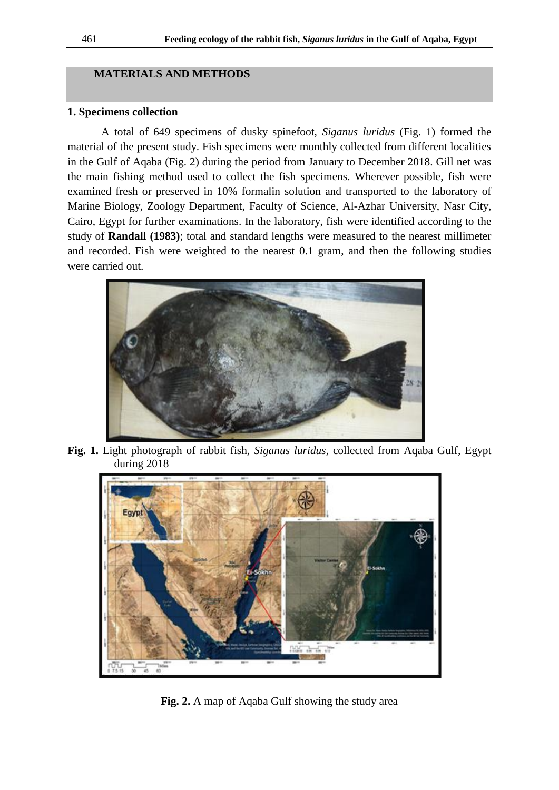#### **MATERIALS AND METHODS**

#### **1. Specimens collection**

A total of 649 specimens of dusky spinefoot, *Siganus luridus* (Fig. 1) formed the material of the present study. Fish specimens were monthly collected from different localities in the Gulf of Aqaba (Fig. 2) during the period from January to December 2018. Gill net was the main fishing method used to collect the fish specimens. Wherever possible, fish were examined fresh or preserved in 10% formalin solution and transported to the laboratory of Marine Biology, Zoology Department, Faculty of Science, Al-Azhar University, Nasr City, Cairo, Egypt for further examinations. In the laboratory, fish were identified according to the study of **Randall (1983)**; total and standard lengths were measured to the nearest millimeter and recorded. Fish were weighted to the nearest 0.1 gram, and then the following studies were carried out.



**Fig. 1.** Light photograph of rabbit fish, *Siganus luridus*, collected from Aqaba Gulf, Egypt during 2018



**Fig. 2.** A map of Aqaba Gulf showing the study area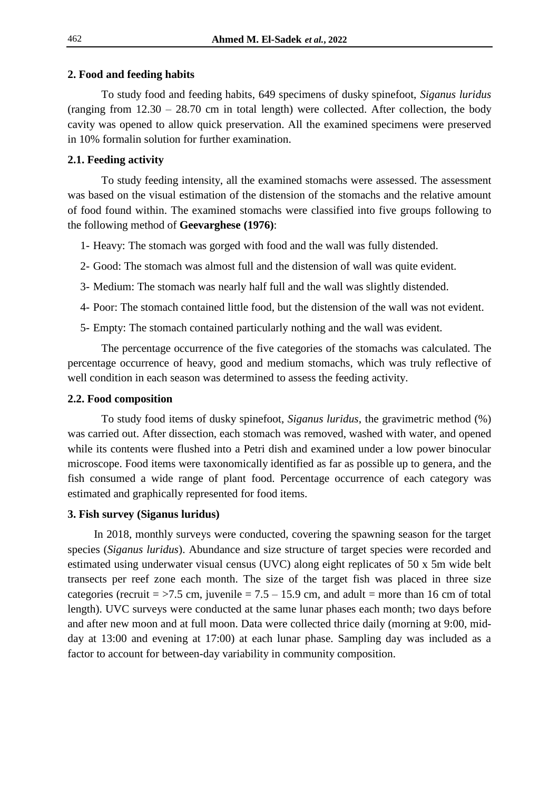#### **2. Food and feeding habits**

To study food and feeding habits, 649 specimens of dusky spinefoot, *Siganus luridus* (ranging from 12.30 – 28.70 cm in total length) were collected. After collection, the body cavity was opened to allow quick preservation. All the examined specimens were preserved in 10% formalin solution for further examination.

# **2.1. Feeding activity**

To study feeding intensity, all the examined stomachs were assessed. The assessment was based on the visual estimation of the distension of the stomachs and the relative amount of food found within. The examined stomachs were classified into five groups following to the following method of **Geevarghese (1976)**:

- 1- Heavy: The stomach was gorged with food and the wall was fully distended.
- 2- Good: The stomach was almost full and the distension of wall was quite evident.
- 3- Medium: The stomach was nearly half full and the wall was slightly distended.
- 4- Poor: The stomach contained little food, but the distension of the wall was not evident.
- 5- Empty: The stomach contained particularly nothing and the wall was evident.

The percentage occurrence of the five categories of the stomachs was calculated. The percentage occurrence of heavy, good and medium stomachs, which was truly reflective of well condition in each season was determined to assess the feeding activity.

# **2.2. Food composition**

To study food items of dusky spinefoot, *Siganus luridus*, the gravimetric method (%) was carried out. After dissection, each stomach was removed, washed with water, and opened while its contents were flushed into a Petri dish and examined under a low power binocular microscope. Food items were taxonomically identified as far as possible up to genera, and the fish consumed a wide range of plant food. Percentage occurrence of each category was estimated and graphically represented for food items.

# **3. Fish survey (Siganus luridus)**

In 2018, monthly surveys were conducted, covering the spawning season for the target species (*Siganus luridus*). Abundance and size structure of target species were recorded and estimated using underwater visual census (UVC) along eight replicates of 50 x 5m wide belt transects per reef zone each month. The size of the target fish was placed in three size categories (recruit =  $>7.5$  cm, juvenile =  $7.5 - 15.9$  cm, and adult = more than 16 cm of total length). UVC surveys were conducted at the same lunar phases each month; two days before and after new moon and at full moon. Data were collected thrice daily (morning at 9:00, midday at 13:00 and evening at 17:00) at each lunar phase. Sampling day was included as a factor to account for between-day variability in community composition.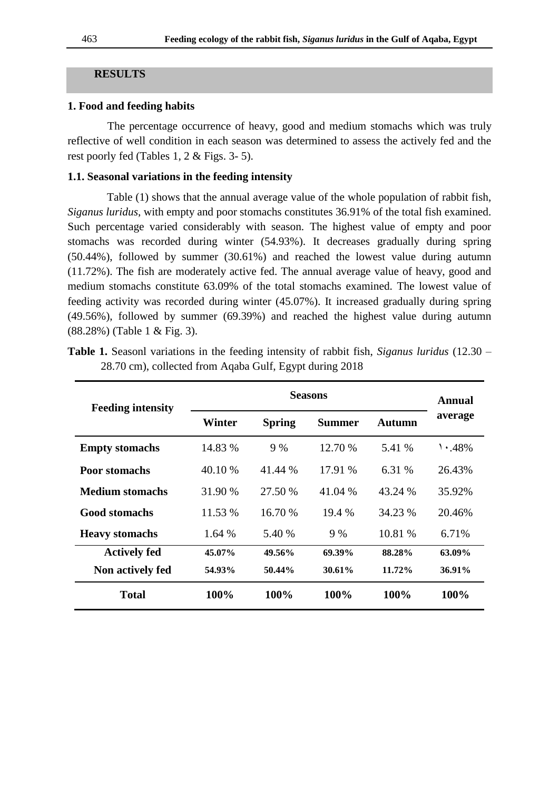#### **RESULTS**

#### **1. Food and feeding habits**

The percentage occurrence of heavy, good and medium stomachs which was truly reflective of well condition in each season was determined to assess the actively fed and the rest poorly fed (Tables 1, 2 & Figs. 3- 5).

## **1.1. Seasonal variations in the feeding intensity**

 Table (1) shows that the annual average value of the whole population of rabbit fish, *Siganus luridus*, with empty and poor stomachs constitutes 36.91% of the total fish examined. Such percentage varied considerably with season. The highest value of empty and poor stomachs was recorded during winter (54.93%). It decreases gradually during spring (50.44%), followed by summer (30.61%) and reached the lowest value during autumn (11.72%). The fish are moderately active fed. The annual average value of heavy, good and medium stomachs constitute 63.09% of the total stomachs examined. The lowest value of feeding activity was recorded during winter (45.07%). It increased gradually during spring (49.56%), followed by summer (69.39%) and reached the highest value during autumn (88.28%) (Table 1 & Fig. 3).

| <b>Feeding intensity</b> | <b>Seasons</b> |               |               |         | Annual       |
|--------------------------|----------------|---------------|---------------|---------|--------------|
|                          | Winter         | <b>Spring</b> | <b>Summer</b> | Autumn  | average      |
| <b>Empty stomachs</b>    | 14.83 %        | 9 %           | 12.70 %       | 5.41 %  | $\cdot$ .48% |
| <b>Poor stomachs</b>     | 40.10 %        | 41.44 %       | 17.91 %       | 6.31 %  | 26.43%       |
| Medium stomachs          | 31.90 %        | 27.50 %       | 41.04 %       | 43.24 % | 35.92%       |
| <b>Good stomachs</b>     | 11.53 %        | 16.70 %       | 19.4 %        | 34.23 % | 20.46%       |
| <b>Heavy stomachs</b>    | 1.64 %         | 5.40 %        | 9 %           | 10.81 % | 6.71%        |
| <b>Actively fed</b>      | 45.07%         | 49.56%        | 69.39%        | 88.28%  | 63.09%       |
| Non actively fed         | 54.93%         | 50.44%        | 30.61%        | 11.72%  | 36.91%       |
| <b>Total</b>             | 100%           | 100%          | 100%          | 100%    | 100%         |

**Table 1.** Seasonl variations in the feeding intensity of rabbit fish, *Siganus luridus* (12.30 – 28.70 cm), collected from Aqaba Gulf, Egypt during 2018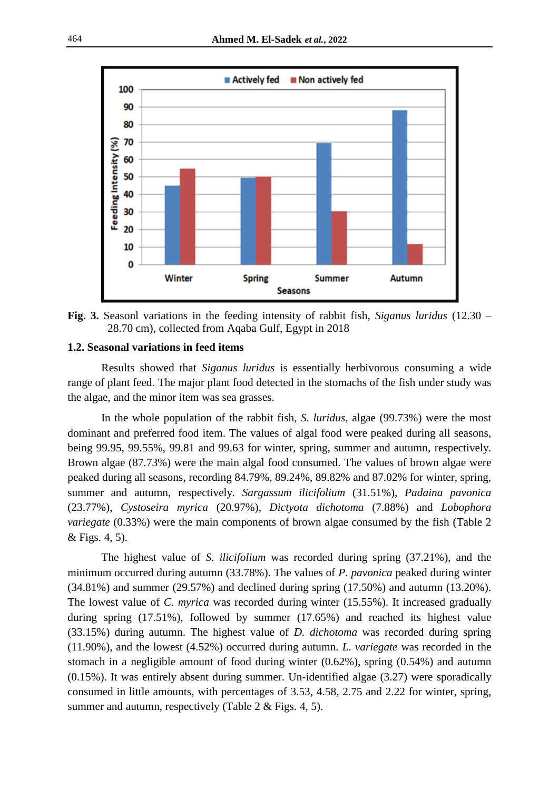

**Fig. 3.** Seasonl variations in the feeding intensity of rabbit fish, *Siganus luridus* (12.30 – 28.70 cm), collected from Aqaba Gulf, Egypt in 2018

# **1.2. Seasonal variations in feed items**

Results showed that *Siganus luridus* is essentially herbivorous consuming a wide range of plant feed. The major plant food detected in the stomachs of the fish under study was the algae, and the minor item was sea grasses.

In the whole population of the rabbit fish, *S. luridus*, algae (99.73%) were the most dominant and preferred food item. The values of algal food were peaked during all seasons, being 99.95, 99.55%, 99.81 and 99.63 for winter, spring, summer and autumn, respectively. Brown algae (87.73%) were the main algal food consumed. The values of brown algae were peaked during all seasons, recording 84.79%, 89.24%, 89.82% and 87.02% for winter, spring, summer and autumn, respectively. *Sargassum ilicifolium* (31.51%), *Padaina pavonica* (23.77%), *Cystoseira myrica* (20.97%), *Dictyota dichotoma* (7.88%) and *Lobophora variegate* (0.33%) were the main components of brown algae consumed by the fish (Table 2) & Figs. 4, 5).

The highest value of *S. ilicifolium* was recorded during spring (37.21%), and the minimum occurred during autumn (33.78%). The values of *P. pavonica* peaked during winter (34.81%) and summer (29.57%) and declined during spring (17.50%) and autumn (13.20%). The lowest value of *C. myrica* was recorded during winter (15.55%). It increased gradually during spring (17.51%), followed by summer (17.65%) and reached its highest value (33.15%) during autumn. The highest value of *D. dichotoma* was recorded during spring (11.90%), and the lowest (4.52%) occurred during autumn. *L. variegate* was recorded in the stomach in a negligible amount of food during winter (0.62%), spring (0.54%) and autumn (0.15%). It was entirely absent during summer. Un-identified algae (3.27) were sporadically consumed in little amounts, with percentages of 3.53, 4.58, 2.75 and 2.22 for winter, spring, summer and autumn, respectively (Table 2 & Figs. 4, 5).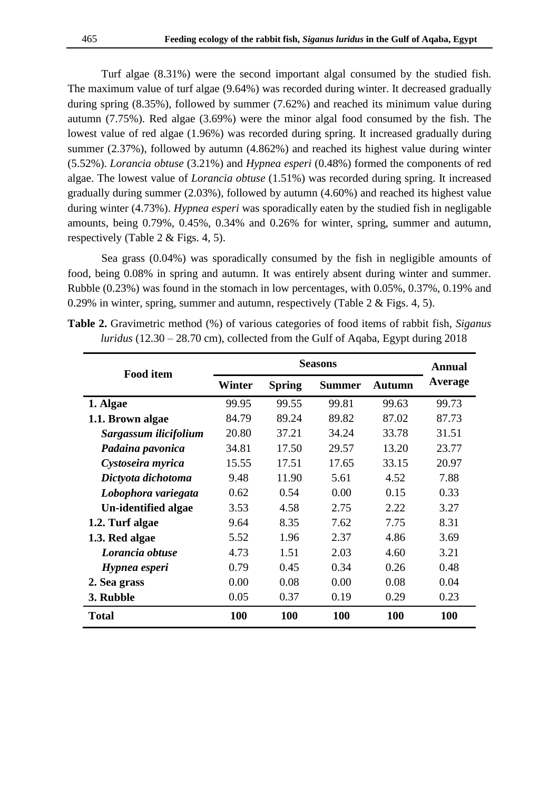Turf algae (8.31%) were the second important algal consumed by the studied fish. The maximum value of turf algae (9.64%) was recorded during winter. It decreased gradually during spring (8.35%), followed by summer (7.62%) and reached its minimum value during autumn (7.75%). Red algae (3.69%) were the minor algal food consumed by the fish. The lowest value of red algae (1.96%) was recorded during spring. It increased gradually during summer (2.37%), followed by autumn (4.862%) and reached its highest value during winter (5.52%). *Lorancia obtuse* (3.21%) and *Hypnea esperi* (0.48%) formed the components of red algae. The lowest value of *Lorancia obtuse* (1.51%) was recorded during spring. It increased gradually during summer (2.03%), followed by autumn (4.60%) and reached its highest value during winter (4.73%). *Hypnea esperi* was sporadically eaten by the studied fish in negligable amounts, being 0.79%, 0.45%, 0.34% and 0.26% for winter, spring, summer and autumn, respectively (Table 2 & Figs. 4, 5).

Sea grass (0.04%) was sporadically consumed by the fish in negligible amounts of food, being 0.08% in spring and autumn. It was entirely absent during winter and summer. Rubble (0.23%) was found in the stomach in low percentages, with 0.05%, 0.37%, 0.19% and 0.29% in winter, spring, summer and autumn, respectively (Table 2 & Figs. 4, 5).

| <b>Food item</b>      | <b>Seasons</b> |               |               |               | <b>Annual</b> |
|-----------------------|----------------|---------------|---------------|---------------|---------------|
|                       | Winter         | <b>Spring</b> | <b>Summer</b> | <b>Autumn</b> | Average       |
| 1. Algae              | 99.95          | 99.55         | 99.81         | 99.63         | 99.73         |
| 1.1. Brown algae      | 84.79          | 89.24         | 89.82         | 87.02         | 87.73         |
| Sargassum ilicifolium | 20.80          | 37.21         | 34.24         | 33.78         | 31.51         |
| Padaina pavonica      | 34.81          | 17.50         | 29.57         | 13.20         | 23.77         |
| Cystoseira myrica     | 15.55          | 17.51         | 17.65         | 33.15         | 20.97         |
| Dictyota dichotoma    | 9.48           | 11.90         | 5.61          | 4.52          | 7.88          |
| Lobophora variegata   | 0.62           | 0.54          | 0.00          | 0.15          | 0.33          |
| Un-identified algae   | 3.53           | 4.58          | 2.75          | 2.22          | 3.27          |
| 1.2. Turf algae       | 9.64           | 8.35          | 7.62          | 7.75          | 8.31          |
| 1.3. Red algae        | 5.52           | 1.96          | 2.37          | 4.86          | 3.69          |
| Lorancia obtuse       | 4.73           | 1.51          | 2.03          | 4.60          | 3.21          |
| Hypnea esperi         | 0.79           | 0.45          | 0.34          | 0.26          | 0.48          |
| 2. Sea grass          | 0.00           | 0.08          | 0.00          | 0.08          | 0.04          |
| 3. Rubble             | 0.05           | 0.37          | 0.19          | 0.29          | 0.23          |
| <b>Total</b>          | 100            | 100           | <b>100</b>    | <b>100</b>    | <b>100</b>    |

**Table 2.** Gravimetric method (%) of various categories of food items of rabbit fish, *Siganus luridus* (12.30 – 28.70 cm), collected from the Gulf of Aqaba, Egypt during 2018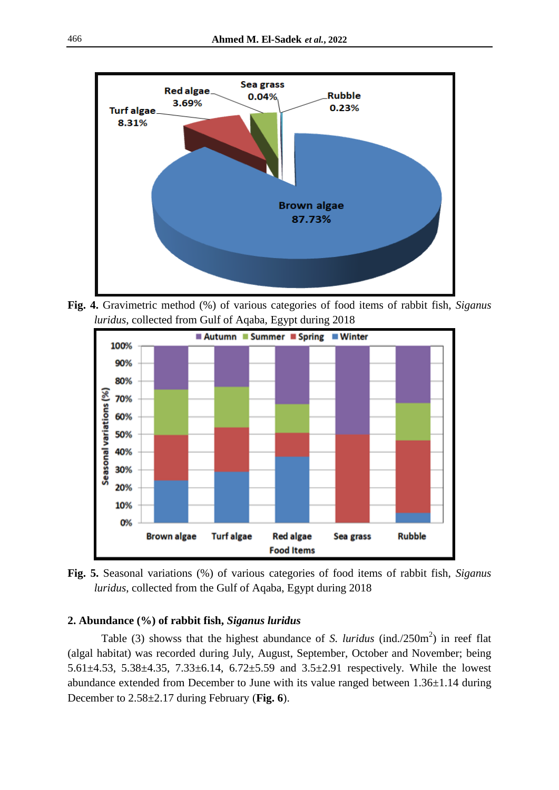

**Fig. 4.** Gravimetric method (%) of various categories of food items of rabbit fish, *Siganus luridus*, collected from Gulf of Aqaba, Egypt during 2018



**Fig. 5.** Seasonal variations (%) of various categories of food items of rabbit fish, *Siganus luridus*, collected from the Gulf of Aqaba, Egypt during 2018

# **2. Abundance (%) of rabbit fish,** *Siganus luridus*

Table (3) showss that the highest abundance of *S. luridus* (ind./250m<sup>2</sup>) in reef flat (algal habitat) was recorded during July, August, September, October and November; being 5.61±4.53, 5.38±4.35, 7.33±6.14, 6.72±5.59 and 3.5±2.91 respectively. While the lowest abundance extended from December to June with its value ranged between 1.36±1.14 during December to 2.58±2.17 during February (**Fig. 6**).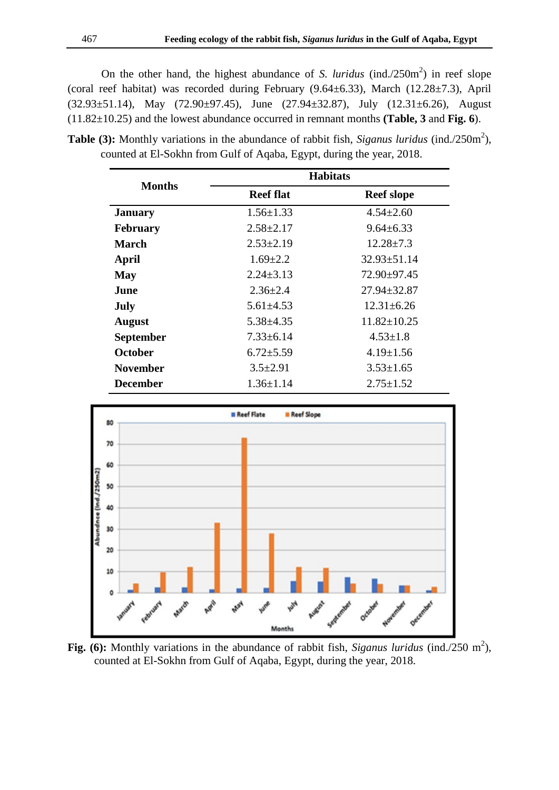On the other hand, the highest abundance of *S. luridus* (ind./250 $m<sup>2</sup>$ ) in reef slope (coral reef habitat) was recorded during February  $(9.64 \pm 6.33)$ , March  $(12.28 \pm 7.3)$ , April  $(32.93\pm51.14)$ , May  $(72.90\pm97.45)$ , June  $(27.94\pm32.87)$ , July  $(12.31\pm6.26)$ , August (11.82±10.25) and the lowest abundance occurred in remnant months **(Table, 3** and **Fig. 6**).

**Table (3):** Monthly variations in the abundance of rabbit fish, *Siganus luridus* (ind./250m<sup>2</sup>), counted at El-Sokhn from Gulf of Aqaba, Egypt, during the year, 2018.

|                  | <b>Habitats</b>                    |                   |  |  |  |
|------------------|------------------------------------|-------------------|--|--|--|
| <b>Months</b>    | <b>Reef flat</b>                   | <b>Reef slope</b> |  |  |  |
| <b>January</b>   | $1.56 \pm 1.33$                    | $4.54 \pm 2.60$   |  |  |  |
| <b>February</b>  | $2.58 \pm 2.17$                    | $9.64 \pm 6.33$   |  |  |  |
| <b>March</b>     | $2.53 \pm 2.19$                    | $12.28 \pm 7.3$   |  |  |  |
| April            | $1.69 \pm 2.2$                     | $32.93 \pm 51.14$ |  |  |  |
| <b>May</b>       | $2.24 \pm 3.13$                    | 72.90±97.45       |  |  |  |
| June             | $2.36 \pm 2.4$                     | $27.94 \pm 32.87$ |  |  |  |
| July             | $5.61 \pm 4.53$                    | $12.31 \pm 6.26$  |  |  |  |
| <b>August</b>    | $5.38 \pm 4.35$                    | $11.82 \pm 10.25$ |  |  |  |
| <b>September</b> | $7.33 \pm 6.14$                    | $4.53 \pm 1.8$    |  |  |  |
| October          | $6.72 \pm 5.59$                    | $4.19 \pm 1.56$   |  |  |  |
| <b>November</b>  | $3.5 \pm 2.91$                     | $3.53 \pm 1.65$   |  |  |  |
| <b>December</b>  | $1.36 \pm 1.14$<br>$2.75 \pm 1.52$ |                   |  |  |  |



Fig. (6): Monthly variations in the abundance of rabbit fish, *Siganus luridus* (ind./250 m<sup>2</sup>), counted at El-Sokhn from Gulf of Aqaba, Egypt, during the year, 2018.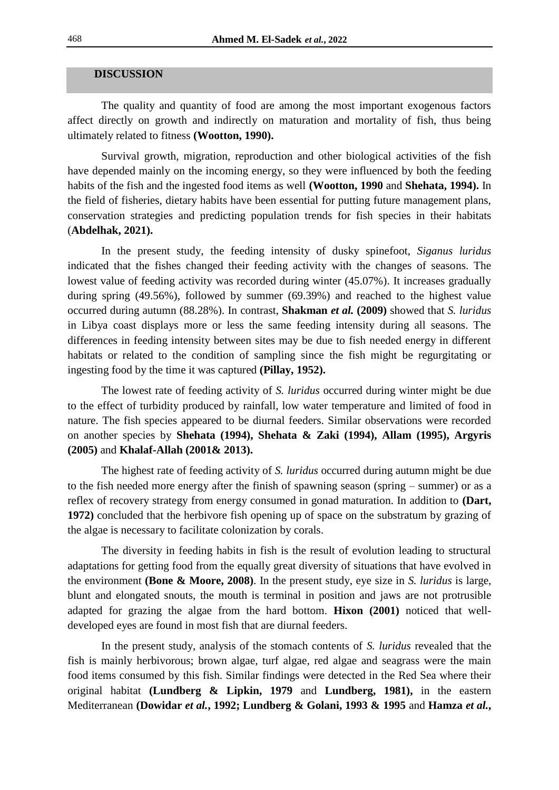## **DISCUSSION**

The quality and quantity of food are among the most important exogenous factors affect directly on growth and indirectly on maturation and mortality of fish, thus being ultimately related to fitness **(Wootton, 1990).**

Survival growth, migration, reproduction and other biological activities of the fish have depended mainly on the incoming energy, so they were influenced by both the feeding habits of the fish and the ingested food items as well **(Wootton, 1990** and **Shehata, 1994).** In the field of fisheries, dietary habits have been essential for putting future management plans, conservation strategies and predicting population trends for fish species in their habitats (**Abdelhak, 2021).** 

In the present study, the feeding intensity of dusky spinefoot, *Siganus luridus* indicated that the fishes changed their feeding activity with the changes of seasons. The lowest value of feeding activity was recorded during winter (45.07%). It increases gradually during spring (49.56%), followed by summer (69.39%) and reached to the highest value occurred during autumn (88.28%). In contrast, **Shakman** *et al.* **(2009)** showed that *S. luridus*  in Libya coast displays more or less the same feeding intensity during all seasons. The differences in feeding intensity between sites may be due to fish needed energy in different habitats or related to the condition of sampling since the fish might be regurgitating or ingesting food by the time it was captured **(Pillay, 1952).** 

The lowest rate of feeding activity of *S. luridus* occurred during winter might be due to the effect of turbidity produced by rainfall, low water temperature and limited of food in nature. The fish species appeared to be diurnal feeders. Similar observations were recorded on another species by **Shehata (1994), Shehata & Zaki (1994), Allam (1995), Argyris (2005)** and **Khalaf-Allah (2001& 2013).**

The highest rate of feeding activity of *S. luridus* occurred during autumn might be due to the fish needed more energy after the finish of spawning season (spring – summer) or as a reflex of recovery strategy from energy consumed in gonad maturation. In addition to **(Dart, 1972)** concluded that the herbivore fish opening up of space on the substratum by grazing of the algae is necessary to facilitate colonization by corals.

The diversity in feeding habits in fish is the result of evolution leading to structural adaptations for getting food from the equally great diversity of situations that have evolved in the environment **(Bone & Moore, 2008)**. In the present study, eye size in *S. luridus* is large, blunt and elongated snouts, the mouth is terminal in position and jaws are not protrusible adapted for grazing the algae from the hard bottom. **Hixon (2001)** noticed that welldeveloped eyes are found in most fish that are diurnal feeders.

In the present study, analysis of the stomach contents of *S. luridus* revealed that the fish is mainly herbivorous; brown algae, turf algae, red algae and seagrass were the main food items consumed by this fish. Similar findings were detected in the Red Sea where their original habitat **(Lundberg & Lipkin, 1979** and **Lundberg, 1981),** in the eastern Mediterranean **(Dowidar** *et al.***, 1992; Lundberg & Golani, 1993 & 1995** and **Hamza** *et al.***,**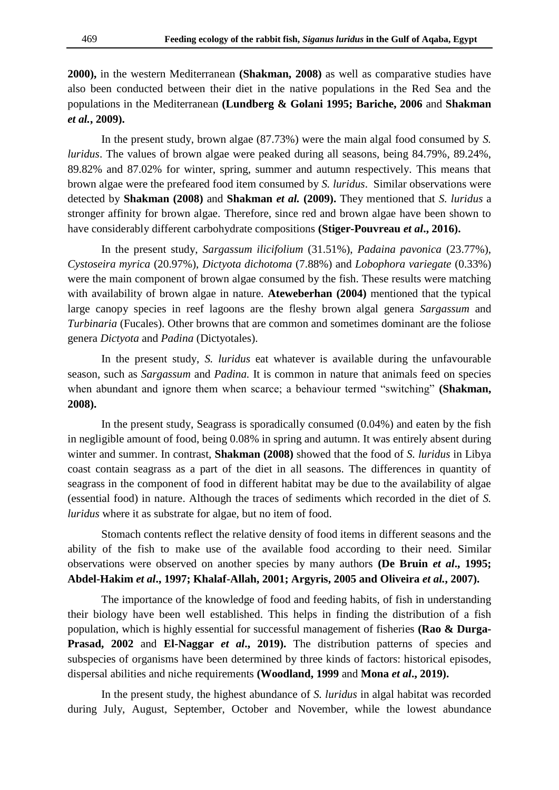**2000),** in the western Mediterranean **(Shakman, 2008)** as well as comparative studies have also been conducted between their diet in the native populations in the Red Sea and the populations in the Mediterranean **(Lundberg & Golani 1995; Bariche, 2006** and **Shakman**  *et al.***, 2009).** 

In the present study, brown algae (87.73%) were the main algal food consumed by *S. luridus*. The values of brown algae were peaked during all seasons, being 84.79%, 89.24%, 89.82% and 87.02% for winter, spring, summer and autumn respectively. This means that brown algae were the prefeared food item consumed by *S. luridus*. Similar observations were detected by **Shakman (2008)** and **Shakman** *et al.* **(2009).** They mentioned that *S. luridus* a stronger affinity for brown algae. Therefore, since red and brown algae have been shown to have considerably different carbohydrate compositions **(Stiger-Pouvreau** *et al***., 2016).**

In the present study, *Sargassum ilicifolium* (31.51%), *Padaina pavonica* (23.77%), *Cystoseira myrica* (20.97%), *Dictyota dichotoma* (7.88%) and *Lobophora variegate* (0.33%) were the main component of brown algae consumed by the fish. These results were matching with availability of brown algae in nature. **Ateweberhan (2004)** mentioned that the typical large canopy species in reef lagoons are the fleshy brown algal genera *Sargassum* and *Turbinaria* (Fucales). Other browns that are common and sometimes dominant are the foliose genera *Dictyota* and *Padina* (Dictyotales).

In the present study, *S. luridus* eat whatever is available during the unfavourable season, such as *Sargassum* and *Padina.* It is common in nature that animals feed on species when abundant and ignore them when scarce; a behaviour termed "switching" **(Shakman, 2008).**

In the present study, Seagrass is sporadically consumed (0.04%) and eaten by the fish in negligible amount of food, being 0.08% in spring and autumn. It was entirely absent during winter and summer. In contrast, **Shakman (2008)** showed that the food of *S. luridus* in Libya coast contain seagrass as a part of the diet in all seasons. The differences in quantity of seagrass in the component of food in different habitat may be due to the availability of algae (essential food) in nature. Although the traces of sediments which recorded in the diet of *S. luridus* where it as substrate for algae, but no item of food.

Stomach contents reflect the relative density of food items in different seasons and the ability of the fish to make use of the available food according to their need. Similar observations were observed on another species by many authors **(De Bruin** *et al***., 1995; Abdel-Hakim** *et al***., 1997; Khalaf-Allah, 2001; Argyris, 2005 and Oliveira** *et al.***, 2007).**

The importance of the knowledge of food and feeding habits, of fish in understanding their biology have been well established. This helps in finding the distribution of a fish population, which is highly essential for successful management of fisheries **(Rao & Durga-Prasad, 2002** and **El-Naggar** *et al***., 2019).** The distribution patterns of species and subspecies of organisms have been determined by three kinds of factors: historical episodes, dispersal abilities and niche requirements **(Woodland, 1999** and **Mona** *et al***., 2019).**

In the present study, the highest abundance of *S. luridus* in algal habitat was recorded during July, August, September, October and November, while the lowest abundance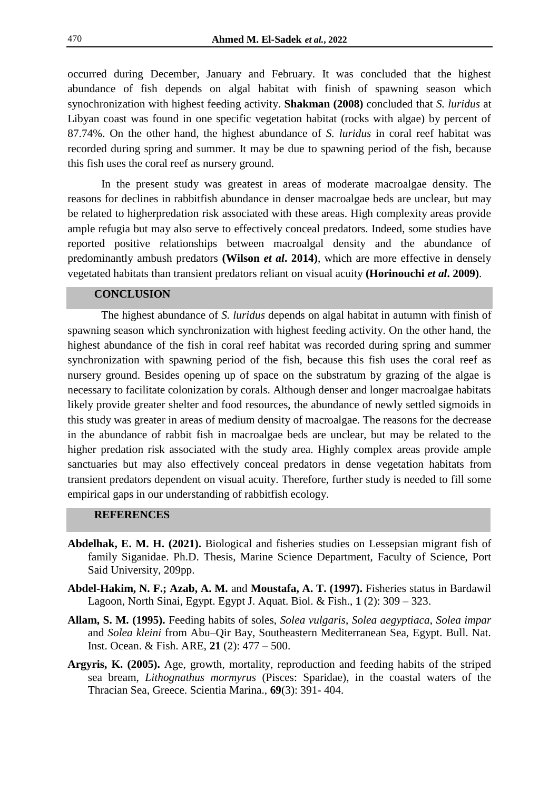occurred during December, January and February. It was concluded that the highest abundance of fish depends on algal habitat with finish of spawning season which synochronization with highest feeding activity. **Shakman (2008)** concluded that *S. luridus* at Libyan coast was found in one specific vegetation habitat (rocks with algae) by percent of 87.74%. On the other hand, the highest abundance of *S. luridus* in coral reef habitat was recorded during spring and summer. It may be due to spawning period of the fish, because this fish uses the coral reef as nursery ground.

In the present study was greatest in areas of moderate macroalgae density. The reasons for declines in rabbitfish abundance in denser macroalgae beds are unclear, but may be related to higherpredation risk associated with these areas. High complexity areas provide ample refugia but may also serve to effectively conceal predators. Indeed, some studies have reported positive relationships between macroalgal density and the abundance of predominantly ambush predators **(Wilson** *et al***. 2014)**, which are more effective in densely vegetated habitats than transient predators reliant on visual acuity **(Horinouchi** *et al***. 2009)**.

# **CONCLUSION**

The highest abundance of *S. luridus* depends on algal habitat in autumn with finish of spawning season which synchronization with highest feeding activity. On the other hand, the highest abundance of the fish in coral reef habitat was recorded during spring and summer synchronization with spawning period of the fish, because this fish uses the coral reef as nursery ground. Besides opening up of space on the substratum by grazing of the algae is necessary to facilitate colonization by corals. Although denser and longer macroalgae habitats likely provide greater shelter and food resources, the abundance of newly settled sigmoids in this study was greater in areas of medium density of macroalgae. The reasons for the decrease in the abundance of rabbit fish in macroalgae beds are unclear, but may be related to the higher predation risk associated with the study area. Highly complex areas provide ample sanctuaries but may also effectively conceal predators in dense vegetation habitats from transient predators dependent on visual acuity. Therefore, further study is needed to fill some empirical gaps in our understanding of rabbitfish ecology.

## **REFERENCES**

- **Abdelhak, E. M. H. (2021).** Biological and fisheries studies on Lessepsian migrant fish of family Siganidae. Ph.D. Thesis, Marine Science Department, Faculty of Science, Port Said University, 209pp.
- **Abdel-Hakim, N. F.; Azab, A. M.** and **Moustafa, A. T. (1997).** Fisheries status in Bardawil Lagoon, North Sinai, Egypt. Egypt J. Aquat. Biol. & Fish., **1** (2): 309 – 323.
- **Allam, S. M. (1995).** Feeding habits of soles, *Solea vulgaris*, *Solea aegyptiaca*, *Solea impar*  and *Solea kleini* from Abu–Qir Bay, Southeastern Mediterranean Sea, Egypt. Bull. Nat. Inst. Ocean. & Fish. ARE, **21** (2): 477 – 500.
- **Argyris, K. (2005).** Age, growth, mortality, reproduction and feeding habits of the striped sea bream, *Lithognathus mormyrus* (Pisces: Sparidae), in the coastal waters of the Thracian Sea, Greece. Scientia Marina., **69**(3): 391- 404.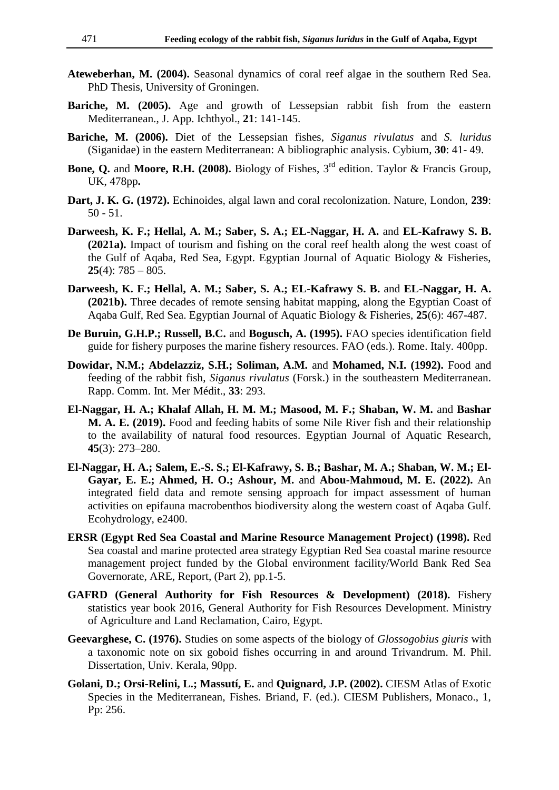- **Ateweberhan, M. (2004).** Seasonal dynamics of coral reef algae in the southern Red Sea*.*  PhD Thesis, University of Groningen.
- **Bariche, M. (2005).** Age and growth of Lessepsian rabbit fish from the eastern Mediterranean., J. App. Ichthyol., **21**: 141-145.
- **Bariche, M. (2006).** Diet of the Lessepsian fishes, *Siganus rivulatus* and *S. luridus* (Siganidae) in the eastern Mediterranean: A bibliographic analysis. Cybium, **30**: 41- 49.
- **Bone, Q.** and **Moore, R.H. (2008).** Biology of Fishes, 3<sup>rd</sup> edition. Taylor & Francis Group, UK, 478pp**.**
- **Dart, J. K. G. (1972).** Echinoides, algal lawn and coral recolonization. Nature, London, **239**: 50 - 51.
- **Darweesh, K. F.; Hellal, A. M.; Saber, S. A.; EL-Naggar, H. A.** and **EL-Kafrawy S. B. (2021a).** Impact of tourism and fishing on the coral reef health along the west coast of the Gulf of Aqaba, Red Sea, Egypt. Egyptian Journal of Aquatic Biology & Fisheries, **25**(4): 785 – 805.
- **Darweesh, K. F.; Hellal, A. M.; Saber, S. A.; EL-Kafrawy S. B.** and **EL-Naggar, H. A. (2021b).** Three decades of remote sensing habitat mapping, along the Egyptian Coast of Aqaba Gulf, Red Sea. Egyptian Journal of Aquatic Biology & Fisheries, **25**(6): 467-487.
- **De Buruin, G.H.P.; Russell, B.C.** and **Bogusch, A. (1995).** FAO species identification field guide for fishery purposes the marine fishery resources. FAO (eds.). Rome. Italy. 400pp.
- **Dowidar, N.M.; Abdelazziz, S.H.; Soliman, A.M.** and **Mohamed, N.I. (1992).** Food and feeding of the rabbit fish, *Siganus rivulatus* (Forsk.) in the southeastern Mediterranean. Rapp. Comm. Int. Mer Médit., **33**: 293.
- **El-Naggar, H. A.; Khalaf Allah, H. M. M.; Masood, M. F.; Shaban, W. M.** and **Bashar M. A. E. (2019).** Food and feeding habits of some Nile River fish and their relationship to the availability of natural food resources. Egyptian Journal of Aquatic Research, **45**(3): 273–280.
- **El-Naggar, H. A.; Salem, E.-S. S.; El-Kafrawy, S. B.; Bashar, M. A.; Shaban, W. M.; El-Gayar, E. E.; Ahmed, H. O.; Ashour, M.** and **Abou-Mahmoud, M. E. (2022).** An integrated field data and remote sensing approach for impact assessment of human activities on epifauna macrobenthos biodiversity along the western coast of Aqaba Gulf. Ecohydrology, e2400.
- **ERSR (Egypt Red Sea Coastal and Marine Resource Management Project) (1998).** Red Sea coastal and marine protected area strategy Egyptian Red Sea coastal marine resource management project funded by the Global environment facility/World Bank Red Sea Governorate, ARE, Report, (Part 2), pp.1-5.
- **GAFRD (General Authority for Fish Resources & Development) (2018).** Fishery statistics year book 2016, General Authority for Fish Resources Development. Ministry of Agriculture and Land Reclamation, Cairo, Egypt.
- **Geevarghese, C. (1976).** Studies on some aspects of the biology of *Glossogobius giuris* with a taxonomic note on six goboid fishes occurring in and around Trivandrum. M. Phil. Dissertation, Univ. Kerala, 90pp.
- **Golani, D.; Orsi-Relini, L.; Massutí, E.** and **Quignard, J.P. (2002).** CIESM Atlas of Exotic Species in the Mediterranean, Fishes*.* Briand, F. (ed.). CIESM Publishers, Monaco., 1, Pp: 256.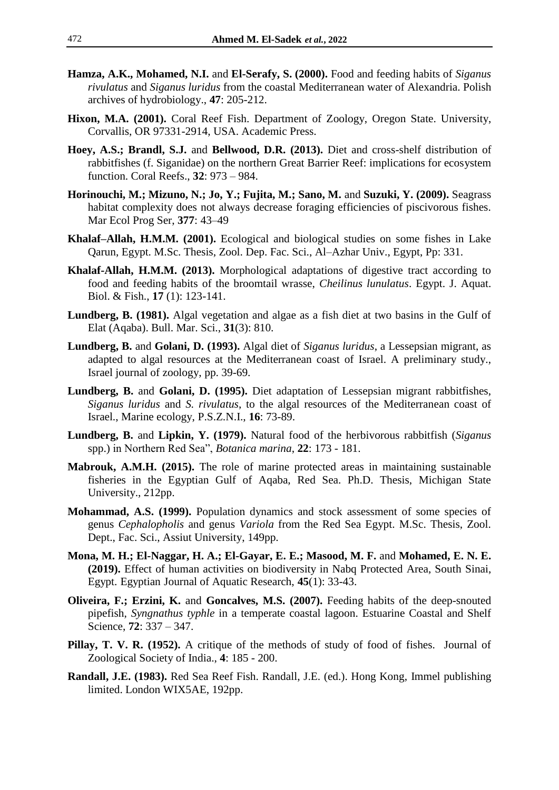- **Hamza, A.K., Mohamed, N.I.** and **El-Serafy, S. (2000).** Food and feeding habits of *Siganus rivulatus* and *Siganus luridus* from the coastal Mediterranean water of Alexandria. Polish archives of hydrobiology., **47**: 205-212.
- **Hixon, M.A. (2001).** Coral Reef Fish. Department of Zoology, Oregon State. University, Corvallis, OR 97331-2914, USA. Academic Press.
- **Hoey, A.S.; Brandl, S.J.** and **Bellwood, D.R. (2013).** Diet and cross-shelf distribution of rabbitfishes (f. Siganidae) on the northern Great Barrier Reef: implications for ecosystem function. Coral Reefs., **32**: 973 – 984.
- **Horinouchi, M.; Mizuno, N.; Jo, Y.; Fujita, M.; Sano, M.** and **Suzuki, Y. (2009).** Seagrass habitat complexity does not always decrease foraging efficiencies of piscivorous fishes. Mar Ecol Prog Ser, **377**: 43–49
- **Khalaf–Allah, H.M.M. (2001).** Ecological and biological studies on some fishes in Lake Qarun, Egypt. M.Sc. Thesis, Zool. Dep. Fac. Sci., Al–Azhar Univ., Egypt, Pp: 331.
- **Khalaf-Allah, H.M.M. (2013).** Morphological adaptations of digestive tract according to food and feeding habits of the broomtail wrasse, *Cheilinus lunulatus*. Egypt. J. Aquat. Biol. & Fish., **17** (1): 123-141.
- **Lundberg, B. (1981).** Algal vegetation and algae as a fish diet at two basins in the Gulf of Elat (Aqaba). Bull. Mar. Sci., **31**(3): 810.
- **Lundberg, B.** and **Golani, D. (1993).** Algal diet of *Siganus luridus*, a Lessepsian migrant, as adapted to algal resources at the Mediterranean coast of Israel. A preliminary study., Israel journal of zoology, pp. 39-69.
- **Lundberg, B.** and **Golani, D. (1995).** Diet adaptation of Lessepsian migrant rabbitfishes, *Siganus luridus* and *S. rivulatus*, to the algal resources of the Mediterranean coast of Israel., Marine ecology, P.S.Z.N.I., **16**: 73-89.
- **Lundberg, B.** and **Lipkin, Y. (1979).** Natural food of the herbivorous rabbitfish (*Siganus*  spp.) in Northern Red Sea", *Botanica marina*, **22**: 173 - 181.
- **Mabrouk, A.M.H. (2015).** The role of marine protected areas in maintaining sustainable fisheries in the Egyptian Gulf of Aqaba, Red Sea. Ph.D. Thesis, Michigan State University., 212pp.
- **Mohammad, A.S. (1999).** Population dynamics and stock assessment of some species of genus *Cephalopholis* and genus *Variola* from the Red Sea Egypt. M.Sc. Thesis, Zool. Dept., Fac. Sci., Assiut University, 149pp.
- **Mona, M. H.; El-Naggar, H. A.; El-Gayar, E. E.; Masood, M. F.** and **Mohamed, E. N. E. (2019).** Effect of human activities on biodiversity in Nabq Protected Area, South Sinai, Egypt. Egyptian Journal of Aquatic Research, **45**(1): 33-43.
- **Oliveira, F.; Erzini, K.** and **Goncalves, M.S. (2007).** Feeding habits of the deep-snouted pipefish, *Syngnathus typhle* in a temperate coastal lagoon. Estuarine Coastal and Shelf Science, **72**: 337 – 347.
- **Pillay, T. V. R. (1952).** A critique of the methods of study of food of fishes. Journal of Zoological Society of India., **4**: 185 - 200.
- **Randall, J.E. (1983).** Red Sea Reef Fish. Randall, J.E. (ed.). Hong Kong, Immel publishing limited. London WIX5AE, 192pp.